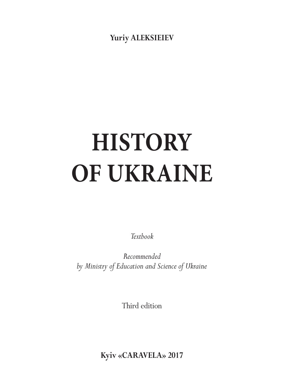**Yuriy AleksIeIev**

# **History of Ukraine**

*Textbook* 

*Recommended by Ministry of Education and Science of Ukraine* 

Third edition

**Kyiv «CaravelA» 2017**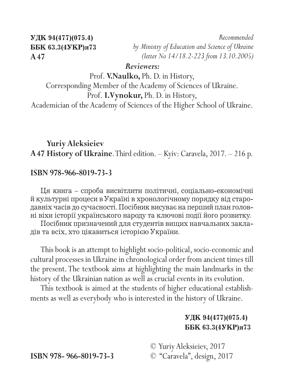**УДК 94(477)(075.4) ББК 63.3(4УКР)я73 A47**

*Recommended by Ministry of Education and Science of Ukraine (letter No 14/18.2-223 from 13.10.2005)*

#### *Reviewers:*

Prof. **V.Naulko,** Ph. D. in History, Corresponding Member of the Academy of Sciences of Ukraine. Prof. **I.Vynokur,** Ph. D. in History, Academician of the Academy of Sciences of the Higher School of Ukraine.

#### **Yuriy Aleksieiev A47 History of Ukraine**. Third edition. – Kyiv: Caravela, 2017. – 216 p.

#### **ISBN 978-966-8019-73-3**

Ця книга – спроба висвітлити політичні, соціально-економічні й культурні процеси в Україні в хронологічному порядку від стародавніх часів до сучасності. Посібник висуває на перший план головні віхи історії українського народу та ключові події його розвитку.

Посібник призначений для студентів вищих навчальних закладів та всіх, хто цікавиться історією України.

This book is an attempt to highlight socio-political, socio-economic and cultural processes in Ukraine in chronological order from ancient times till the present. The textbook aims at highlighting the main landmarks in the history of the Ukrainian nation as well as crucial events in its evolution.

This textbook is aimed at the students of higher educational establishments as well as everybody who is interested in the history of Ukraine.

#### **УДК 94(477)(075.4) ББК 63.3(4УКР)я73**

© Yuriy Aleksieiev, 2017

**ISBN 978- 966-8019-73-3** © "Caravela", design, 2017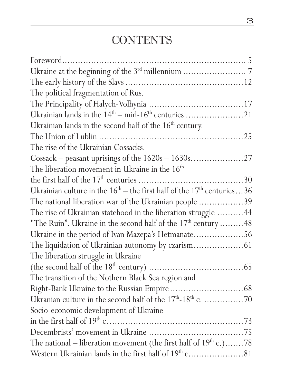## **CONTENTS**

| The political fragmentation of Rus.                                        |
|----------------------------------------------------------------------------|
|                                                                            |
| Ukrainian lands in the $14th - mid-16th$ centuries 21                      |
| Ukrainian lands in the second half of the $16th$ century.                  |
|                                                                            |
| The rise of the Ukrainian Cossacks.                                        |
|                                                                            |
| The liberation movement in Ukraine in the $16th$ –                         |
|                                                                            |
| Ukrainian culture in the $16th -$ the first half of the $17th$ centuries36 |
| The national liberation war of the Ukrainian people 39                     |
| The rise of Ukrainian statehood in the liberation struggle  44             |
| "The Ruin". Ukraine in the second half of the $17th$ century 48            |
| Ukraine in the period of Ivan Mazepa's Hetmanate56                         |
|                                                                            |
| The liberation struggle in Ukraine                                         |
|                                                                            |
| The transition of the Nothern Black Sea region and                         |
|                                                                            |
|                                                                            |
| Socio-economic development of Ukraine                                      |
|                                                                            |
|                                                                            |
| The national – liberation movement (the first half of $19th$ c.)78         |
|                                                                            |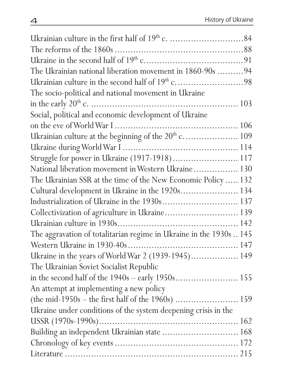| The Ukrainian national liberation movement in 1860-90s 94           |  |
|---------------------------------------------------------------------|--|
|                                                                     |  |
| The socio-political and national movement in Ukraine                |  |
|                                                                     |  |
| Social, political and economic development of Ukraine               |  |
|                                                                     |  |
|                                                                     |  |
|                                                                     |  |
| Struggle for power in Ukraine (1917-1918) 117                       |  |
| National liberation movement in Western Ukraine 130                 |  |
| The Ukrainian SSR at the time of the New Economic Policy  132       |  |
| Cultural development in Ukraine in the 1920s 134                    |  |
| Industrialization of Ukraine in the 1930s 137                       |  |
| Collectivization of agriculture in Ukraine 139                      |  |
|                                                                     |  |
| The aggravation of totalitarian regime in Ukraine in the 1930s  145 |  |
|                                                                     |  |
| Ukraine in the years of World War 2 (1939-1945) 149                 |  |
| The Ukrainian Soviet Socialist Republic                             |  |
|                                                                     |  |
| An attempt at implementing a new policy                             |  |
|                                                                     |  |
| Ukraine under conditions of the system deepening crisis in the      |  |
|                                                                     |  |
| Building an independent Ukrainian state  168                        |  |
|                                                                     |  |
|                                                                     |  |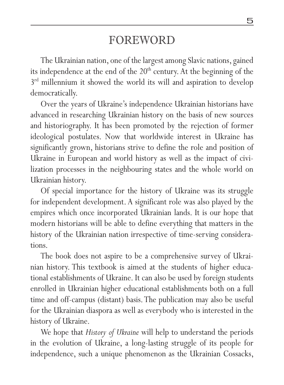### foreword

The Ukrainian nation, one of the largest among Slavic nations, gained its independence at the end of the  $20<sup>th</sup>$  century. At the beginning of the 3<sup>rd</sup> millennium it showed the world its will and aspiration to develop democratically.

Over the years of Ukraine's independence Ukrainian historians have advanced in researching Ukrainian history on the basis of new sources and historiography. It has been promoted by the rejection of former ideological postulates. Now that worldwide interest in Ukraine has significantly grown, historians strive to define the role and position of Ukraine in European and world history as well as the impact of civilization processes in the neighbouring states and the whole world on Ukrainian history.

Of special importance for the history of Ukraine was its struggle for independent development. A significant role was also played by the empires which once incorporated Ukrainian lands. It is our hope that modern historians will be able to define everything that matters in the history of the Ukrainian nation irrespective of time-serving considerations.

The book does not aspire to be a comprehensive survey of Ukrainian history. This textbook is aimed at the students of higher educational establishments of Ukraine. It can also be used by foreign students enrolled in Ukrainian higher educational establishments both on a full time and off-campus (distant) basis. The publication may also be useful for the Ukrainian diaspora as well as everybody who is interested in the history of Ukraine.

We hope that *History of Ukraine* will help to understand the periods in the evolution of Ukraine, a long-lasting struggle of its people for independence, such a unique phenomenon as the Ukrainian Cossacks,